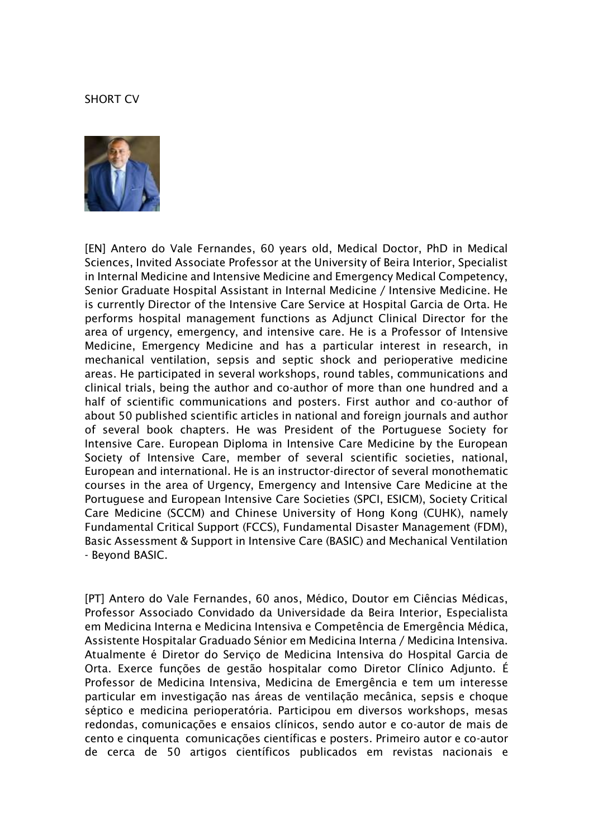## SHORT CV



[EN] Antero do Vale Fernandes, 60 years old, Medical Doctor, PhD in Medical Sciences, Invited Associate Professor at the University of Beira Interior, Specialist in Internal Medicine and Intensive Medicine and Emergency Medical Competency, Senior Graduate Hospital Assistant in Internal Medicine / Intensive Medicine. He is currently Director of the Intensive Care Service at Hospital Garcia de Orta. He performs hospital management functions as Adjunct Clinical Director for the area of urgency, emergency, and intensive care. He is a Professor of Intensive Medicine, Emergency Medicine and has a particular interest in research, in mechanical ventilation, sepsis and septic shock and perioperative medicine areas. He participated in several workshops, round tables, communications and clinical trials, being the author and co-author of more than one hundred and a half of scientific communications and posters. First author and co-author of about 50 published scientific articles in national and foreign journals and author of several book chapters. He was President of the Portuguese Society for Intensive Care. European Diploma in Intensive Care Medicine by the European Society of Intensive Care, member of several scientific societies, national, European and international. He is an instructor-director of several monothematic courses in the area of Urgency, Emergency and Intensive Care Medicine at the Portuguese and European Intensive Care Societies (SPCI, ESICM), Society Critical Care Medicine (SCCM) and Chinese University of Hong Kong (CUHK), namely Fundamental Critical Support (FCCS), Fundamental Disaster Management (FDM), Basic Assessment & Support in Intensive Care (BASIC) and Mechanical Ventilation - Beyond BASIC.

[PT] Antero do Vale Fernandes, 60 anos, Médico, Doutor em Ciências Médicas, Professor Associado Convidado da Universidade da Beira Interior, Especialista em Medicina Interna e Medicina Intensiva e Competência de Emergência Médica, Assistente Hospitalar Graduado Sénior em Medicina Interna / Medicina Intensiva. Atualmente é Diretor do Serviço de Medicina Intensiva do Hospital Garcia de Orta. Exerce funções de gestão hospitalar como Diretor Clínico Adjunto. É Professor de Medicina Intensiva, Medicina de Emergência e tem um interesse particular em investigação nas áreas de ventilação mecânica, sepsis e choque séptico e medicina perioperatória. Participou em diversos workshops, mesas redondas, comunicações e ensaios clínicos, sendo autor e co-autor de mais de cento e cinquenta comunicações científicas e posters. Primeiro autor e co-autor de cerca de 50 artigos científicos publicados em revistas nacionais e